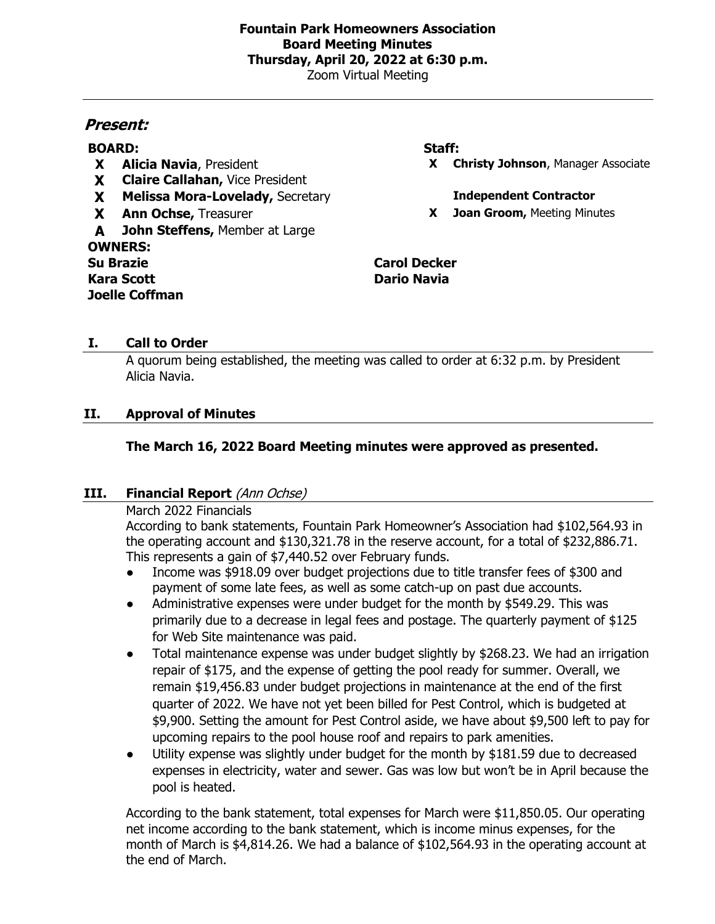# **Fountain Park Homeowners Association Board Meeting Minutes Thursday, April 20, 2022 at 6:30 p.m.**

Zoom Virtual Meeting

# **Present:**

# **BOARD: Staff:**

- 
- **X Claire Callahan,** Vice President
- **X Melissa Mora-Lovelady,** Secretary **Independent Contractor**
- 
- **A John Steffens,** Member at Large **OWNERS: Su Brazie Carol Decker Kara Scott Dario Navia Joelle Coffman**

**X Alicia Navia**, President **X Christy Johnson**, Manager Associate

**X Ann Ochse,** Treasurer **X Joan Groom,** Meeting Minutes

# **I. Call to Order**

A quorum being established, the meeting was called to order at 6:32 p.m. by President Alicia Navia.

# **II. Approval of Minutes**

# **The March 16, 2022 Board Meeting minutes were approved as presented.**

## **III.** Financial Report (Ann Ochse)

## March 2022 Financials

According to bank statements, Fountain Park Homeowner's Association had \$102,564.93 in the operating account and \$130,321.78 in the reserve account, for a total of \$232,886.71. This represents a gain of \$7,440.52 over February funds.

- Income was \$918.09 over budget projections due to title transfer fees of \$300 and payment of some late fees, as well as some catch-up on past due accounts.
- Administrative expenses were under budget for the month by \$549.29. This was primarily due to a decrease in legal fees and postage. The quarterly payment of \$125 for Web Site maintenance was paid.
- Total maintenance expense was under budget slightly by \$268.23. We had an irrigation repair of \$175, and the expense of getting the pool ready for summer. Overall, we remain \$19,456.83 under budget projections in maintenance at the end of the first quarter of 2022. We have not yet been billed for Pest Control, which is budgeted at \$9,900. Setting the amount for Pest Control aside, we have about \$9,500 left to pay for upcoming repairs to the pool house roof and repairs to park amenities.
- Utility expense was slightly under budget for the month by \$181.59 due to decreased expenses in electricity, water and sewer. Gas was low but won't be in April because the pool is heated.

According to the bank statement, total expenses for March were \$11,850.05. Our operating net income according to the bank statement, which is income minus expenses, for the month of March is \$4,814.26. We had a balance of \$102,564.93 in the operating account at the end of March.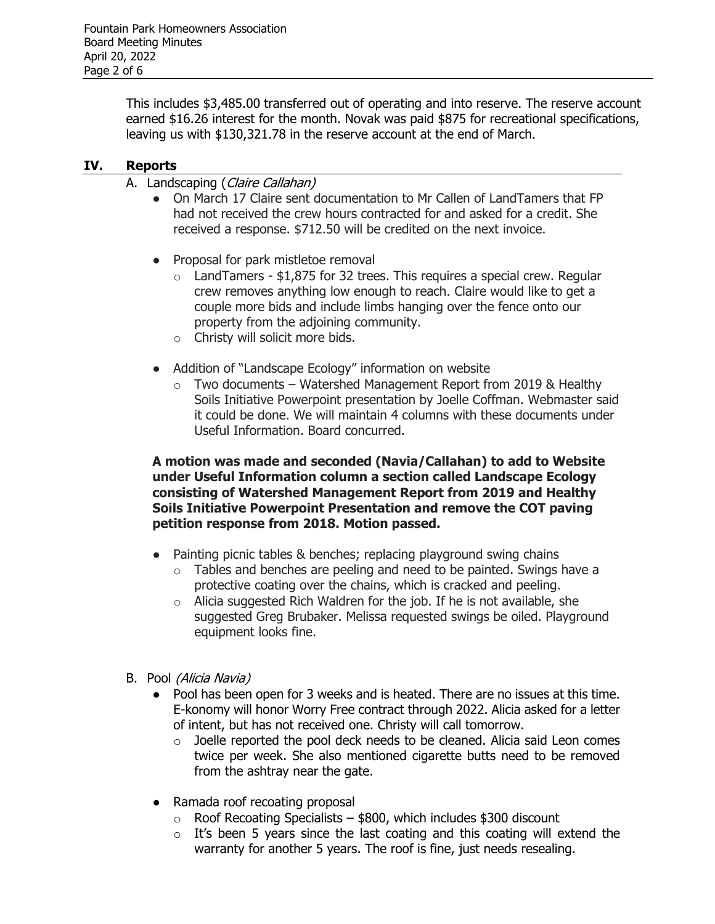This includes \$3,485.00 transferred out of operating and into reserve. The reserve account earned \$16.26 interest for the month. Novak was paid \$875 for recreational specifications, leaving us with \$130,321.78 in the reserve account at the end of March.

# **IV. Reports**

- A. Landscaping (Claire Callahan)
	- On March 17 Claire sent documentation to Mr Callen of LandTamers that FP had not received the crew hours contracted for and asked for a credit. She received a response. \$712.50 will be credited on the next invoice.
	- Proposal for park mistletoe removal
		- $\circ$  LandTamers \$1,875 for 32 trees. This requires a special crew. Regular crew removes anything low enough to reach. Claire would like to get a couple more bids and include limbs hanging over the fence onto our property from the adjoining community.
		- o Christy will solicit more bids.
	- Addition of "Landscape Ecology" information on website
		- $\circ$  Two documents Watershed Management Report from 2019 & Healthy Soils Initiative Powerpoint presentation by Joelle Coffman. Webmaster said it could be done. We will maintain 4 columns with these documents under Useful Information. Board concurred.

# **A motion was made and seconded (Navia/Callahan) to add to Website under Useful Information column a section called Landscape Ecology consisting of Watershed Management Report from 2019 and Healthy Soils Initiative Powerpoint Presentation and remove the COT paving petition response from 2018. Motion passed.**

- Painting picnic tables & benches; replacing playground swing chains
	- $\circ$  Tables and benches are peeling and need to be painted. Swings have a protective coating over the chains, which is cracked and peeling.
	- $\circ$  Alicia suggested Rich Waldren for the job. If he is not available, she suggested Greg Brubaker. Melissa requested swings be oiled. Playground equipment looks fine.
- B. Pool (Alicia Navia)
	- Pool has been open for 3 weeks and is heated. There are no issues at this time. E-konomy will honor Worry Free contract through 2022. Alicia asked for a letter of intent, but has not received one. Christy will call tomorrow.
		- $\circ$  Joelle reported the pool deck needs to be cleaned. Alicia said Leon comes twice per week. She also mentioned cigarette butts need to be removed from the ashtray near the gate.
	- Ramada roof recoating proposal
		- $\circ$  Roof Recoating Specialists \$800, which includes \$300 discount
		- $\circ$  It's been 5 years since the last coating and this coating will extend the warranty for another 5 years. The roof is fine, just needs resealing.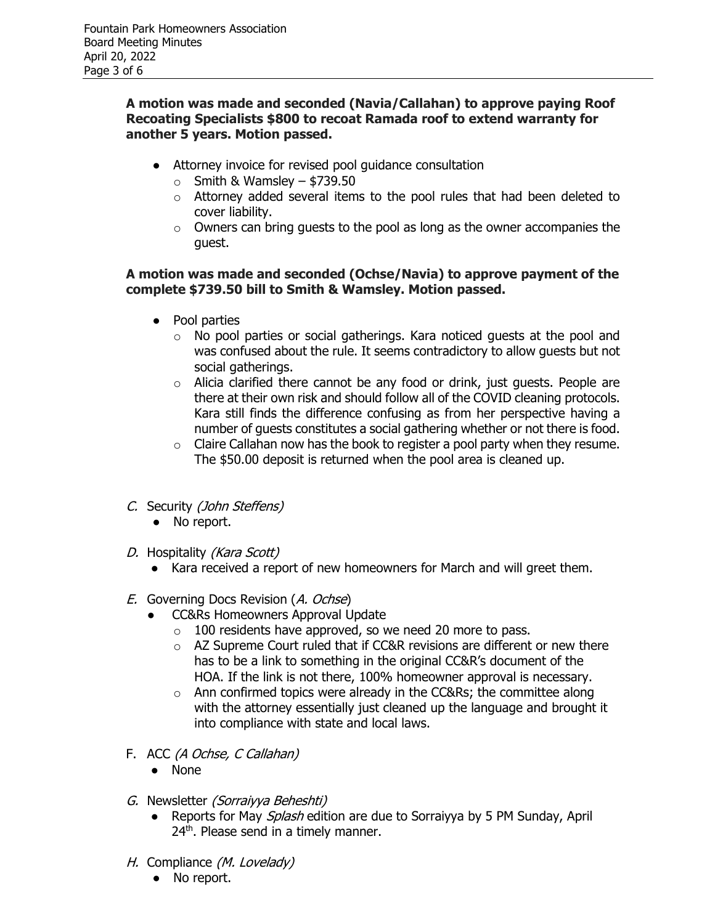# **A motion was made and seconded (Navia/Callahan) to approve paying Roof Recoating Specialists \$800 to recoat Ramada roof to extend warranty for another 5 years. Motion passed.**

- Attorney invoice for revised pool guidance consultation
	- $\circ$  Smith & Wamsley \$739.50
	- o Attorney added several items to the pool rules that had been deleted to cover liability.
	- $\circ$  Owners can bring quests to the pool as long as the owner accompanies the guest.

# **A motion was made and seconded (Ochse/Navia) to approve payment of the complete \$739.50 bill to Smith & Wamsley. Motion passed.**

- Pool parties
	- o No pool parties or social gatherings. Kara noticed guests at the pool and was confused about the rule. It seems contradictory to allow guests but not social gatherings.
	- o Alicia clarified there cannot be any food or drink, just guests. People are there at their own risk and should follow all of the COVID cleaning protocols. Kara still finds the difference confusing as from her perspective having a number of guests constitutes a social gathering whether or not there is food.
	- $\circ$  Claire Callahan now has the book to register a pool party when they resume. The \$50.00 deposit is returned when the pool area is cleaned up.
- C. Security (John Steffens)
	- No report.
- D. Hospitality (Kara Scott)
	- Kara received a report of new homeowners for March and will greet them.
- E. Governing Docs Revision (A. Ochse)
	- CC&Rs Homeowners Approval Update
		- o 100 residents have approved, so we need 20 more to pass.
		- o AZ Supreme Court ruled that if CC&R revisions are different or new there has to be a link to something in the original CC&R's document of the HOA. If the link is not there, 100% homeowner approval is necessary.
		- $\circ$  Ann confirmed topics were already in the CC&Rs; the committee along with the attorney essentially just cleaned up the language and brought it into compliance with state and local laws.
- F. ACC (A Ochse, C Callahan)
	- None
- G. Newsletter (Sorraiyya Beheshti)
	- Reports for May Splash edition are due to Sorraiyya by 5 PM Sunday, April 24<sup>th</sup>. Please send in a timely manner.
- H. Compliance (M. Lovelady)
	- No report.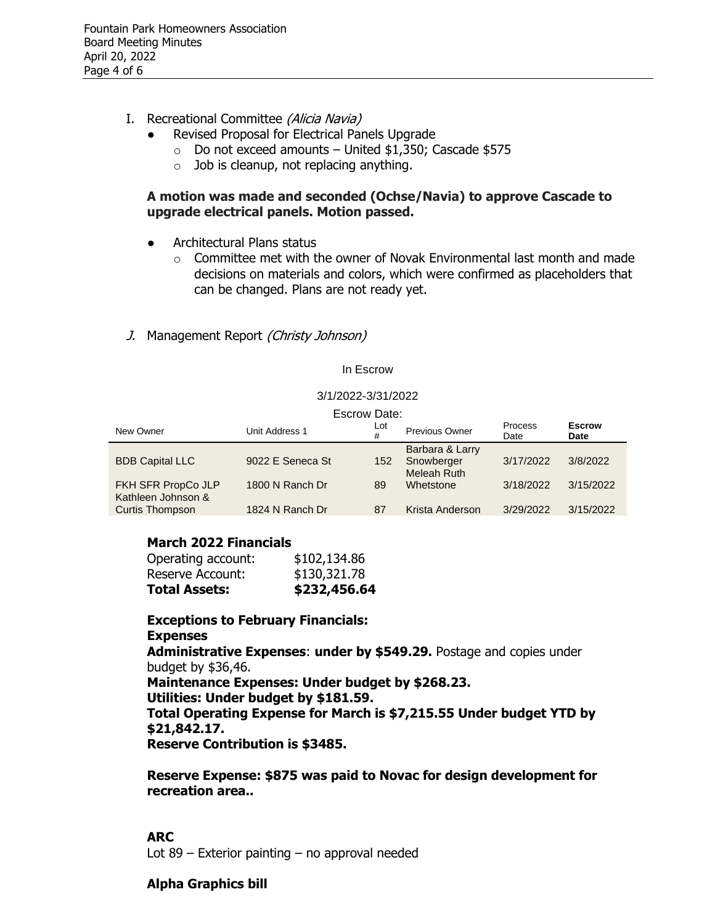- I. Recreational Committee (Alicia Navia)
	- Revised Proposal for Electrical Panels Upgrade
		- $\circ$  Do not exceed amounts United \$1,350; Cascade \$575
		- $\circ$  Job is cleanup, not replacing anything.

# **A motion was made and seconded (Ochse/Navia) to approve Cascade to upgrade electrical panels. Motion passed.**

- Architectural Plans status
	- $\circ$  Committee met with the owner of Novak Environmental last month and made decisions on materials and colors, which were confirmed as placeholders that can be changed. Plans are not ready yet.
- J. Management Report (Christy Johnson)

### In Escrow

#### 3/1/2022-3/31/2022

# Escrow Date:

|                                          | Louiuw Dalt.     |          |                                              |                 |                       |
|------------------------------------------|------------------|----------|----------------------------------------------|-----------------|-----------------------|
| New Owner                                | Unit Address 1   | Lot<br># | Previous Owner                               | Process<br>Date | <b>Escrow</b><br>Date |
| <b>BDB Capital LLC</b>                   | 9022 E Seneca St | 152      | Barbara & Larry<br>Snowberger<br>Meleah Ruth | 3/17/2022       | 3/8/2022              |
| FKH SFR PropCo JLP<br>Kathleen Johnson & | 1800 N Ranch Dr  | 89       | Whetstone                                    | 3/18/2022       | 3/15/2022             |
| <b>Curtis Thompson</b>                   | 1824 N Ranch Dr  | 87       | Krista Anderson                              | 3/29/2022       | 3/15/2022             |

## **March 2022 Financials**

| <b>Total Assets:</b> | \$232,456.64 |
|----------------------|--------------|
| Reserve Account:     | \$130,321.78 |
| Operating account:   | \$102,134.86 |

**Exceptions to February Financials: Expenses Administrative Expenses**: **under by \$549.29.** Postage and copies under budget by \$36,46. **Maintenance Expenses: Under budget by \$268.23. Utilities: Under budget by \$181.59. Total Operating Expense for March is \$7,215.55 Under budget YTD by \$21,842.17. Reserve Contribution is \$3485.**

**Reserve Expense: \$875 was paid to Novac for design development for recreation area..** 

## **ARC**

Lot 89 – Exterior painting – no approval needed

# **Alpha Graphics bill**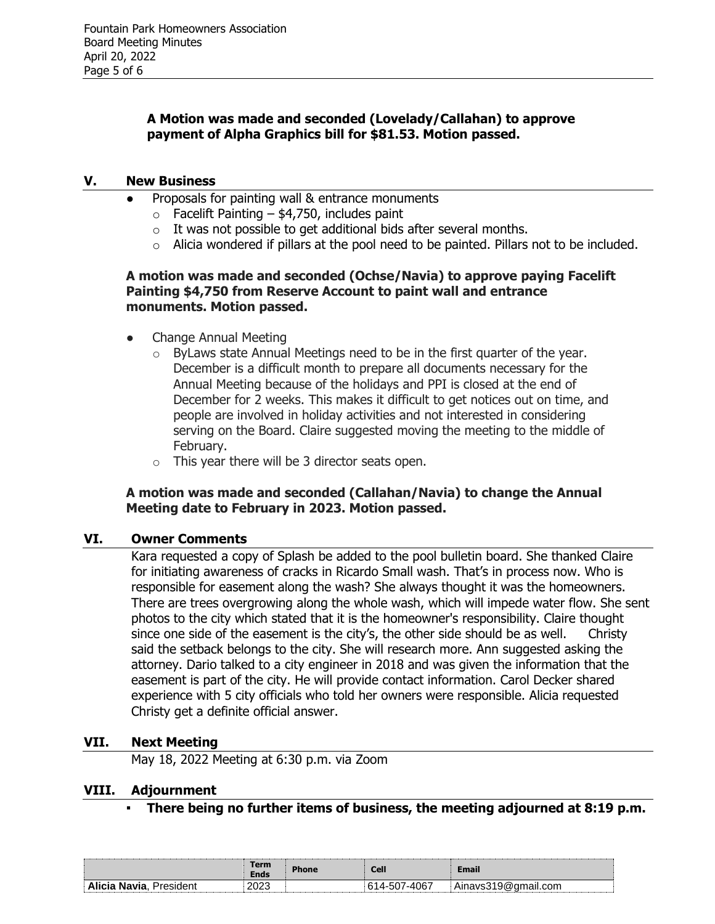# **A Motion was made and seconded (Lovelady/Callahan) to approve payment of Alpha Graphics bill for \$81.53. Motion passed.**

### **V. New Business**

- Proposals for painting wall & entrance monuments
	- $\circ$  Facelift Painting \$4,750, includes paint
	- $\circ$  It was not possible to get additional bids after several months.
	- o Alicia wondered if pillars at the pool need to be painted. Pillars not to be included.

# **A motion was made and seconded (Ochse/Navia) to approve paying Facelift Painting \$4,750 from Reserve Account to paint wall and entrance monuments. Motion passed.**

- Change Annual Meeting
	- o ByLaws state Annual Meetings need to be in the first quarter of the year. December is a difficult month to prepare all documents necessary for the Annual Meeting because of the holidays and PPI is closed at the end of December for 2 weeks. This makes it difficult to get notices out on time, and people are involved in holiday activities and not interested in considering serving on the Board. Claire suggested moving the meeting to the middle of February.
	- $\circ$  This year there will be 3 director seats open.

## **A motion was made and seconded (Callahan/Navia) to change the Annual Meeting date to February in 2023. Motion passed.**

## **VI. Owner Comments**

Kara requested a copy of Splash be added to the pool bulletin board. She thanked Claire for initiating awareness of cracks in Ricardo Small wash. That's in process now. Who is responsible for easement along the wash? She always thought it was the homeowners. There are trees overgrowing along the whole wash, which will impede water flow. She sent photos to the city which stated that it is the homeowner's responsibility. Claire thought since one side of the easement is the city's, the other side should be as well. Christy said the setback belongs to the city. She will research more. Ann suggested asking the attorney. Dario talked to a city engineer in 2018 and was given the information that the easement is part of the city. He will provide contact information. Carol Decker shared experience with 5 city officials who told her owners were responsible. Alicia requested Christy get a definite official answer.

## **VII. Next Meeting**

May 18, 2022 Meeting at 6:30 p.m. via Zoom

### **VIII. Adjournment**

**▪ There being no further items of business, the meeting adjourned at 8:19 p.m.** 

|                                     | Term<br><b>Ends</b> | <b>Phone</b> | <b>Cell</b> | Email                                       |
|-------------------------------------|---------------------|--------------|-------------|---------------------------------------------|
| <b>Alicia</b><br>Navia<br>∵residen⊾ | 2023                |              | 4067        | Ainavs31<br>`9@.<br>mail.com<br>$\cdot$<br> |